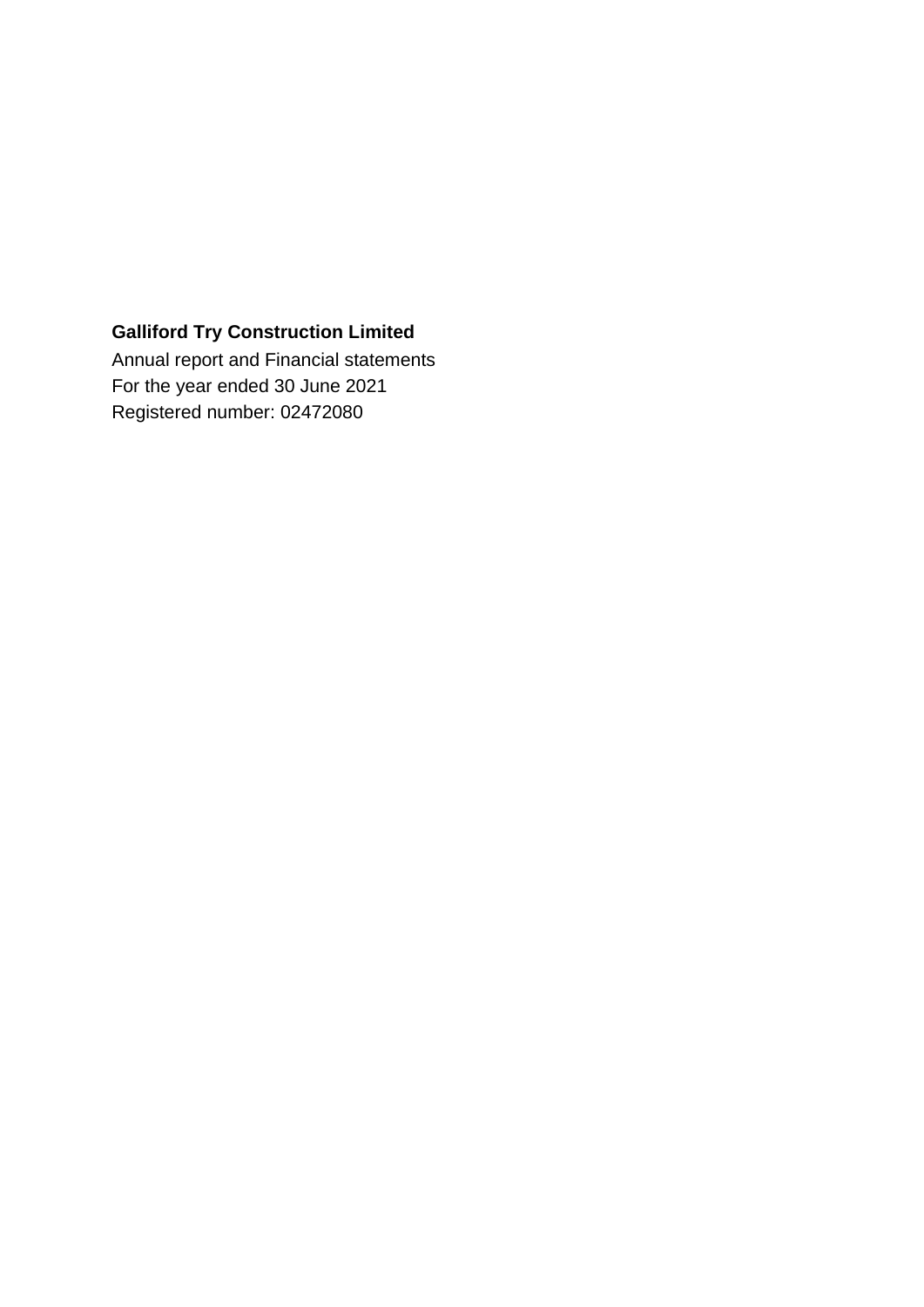# **Galliford Try Construction Limited**

Annual report and Financial statements For the year ended 30 June 2021 Registered number: 02472080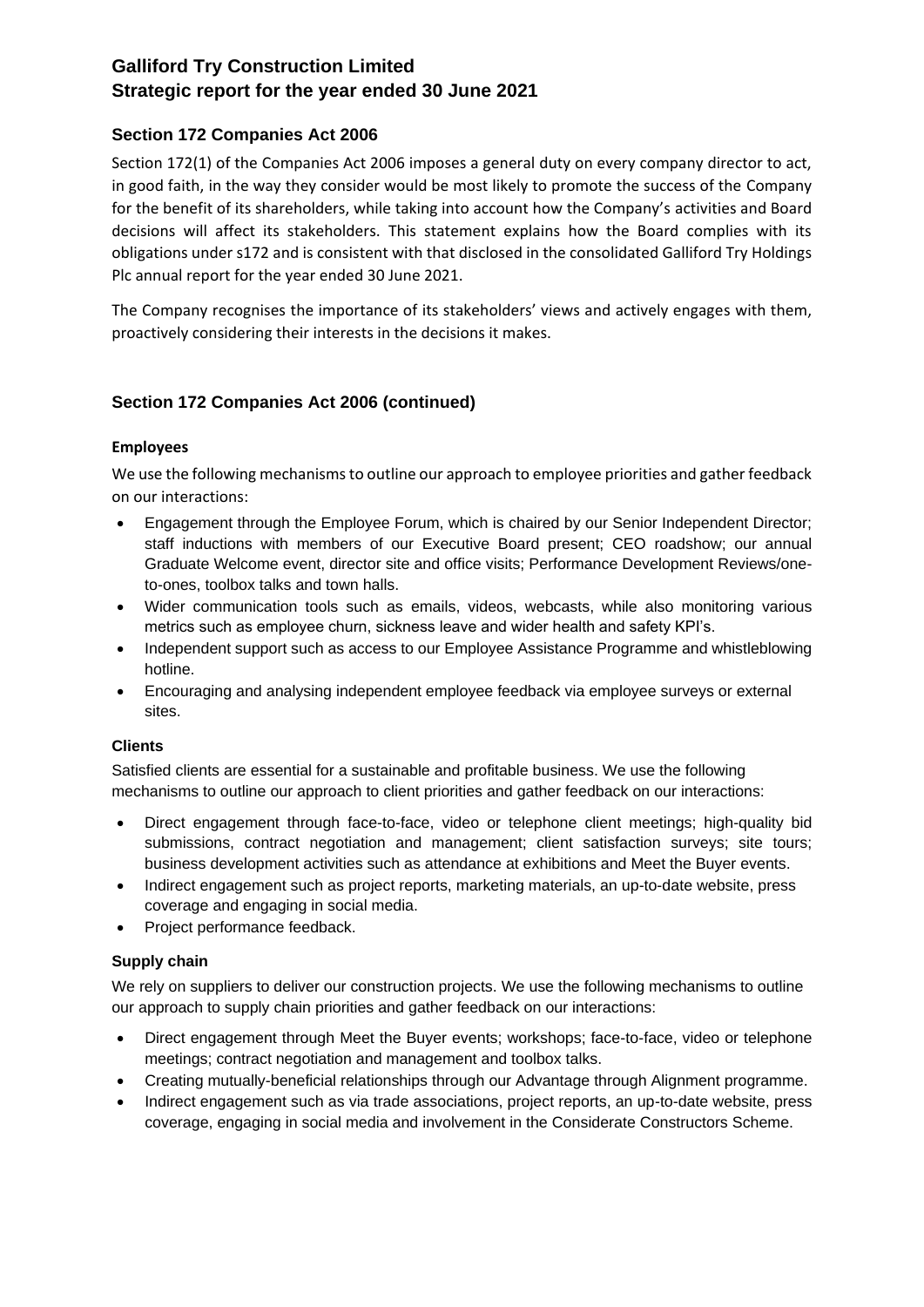## **Galliford Try Construction Limited Strategic report for the year ended 30 June 2021**

## **Section 172 Companies Act 2006**

Section 172(1) of the Companies Act 2006 imposes a general duty on every company director to act, in good faith, in the way they consider would be most likely to promote the success of the Company for the benefit of its shareholders, while taking into account how the Company's activities and Board decisions will affect its stakeholders. This statement explains how the Board complies with its obligations under s172 and is consistent with that disclosed in the consolidated Galliford Try Holdings Plc annual report for the year ended 30 June 2021.

The Company recognises the importance of its stakeholders' views and actively engages with them, proactively considering their interests in the decisions it makes.

## **Section 172 Companies Act 2006 (continued)**

### **Employees**

We use the following mechanisms to outline our approach to employee priorities and gather feedback on our interactions:

- Engagement through the Employee Forum, which is chaired by our Senior Independent Director; staff inductions with members of our Executive Board present; CEO roadshow; our annual Graduate Welcome event, director site and office visits; Performance Development Reviews/oneto-ones, toolbox talks and town halls.
- Wider communication tools such as emails, videos, webcasts, while also monitoring various metrics such as employee churn, sickness leave and wider health and safety KPI's.
- Independent support such as access to our Employee Assistance Programme and whistleblowing hotline.
- Encouraging and analysing independent employee feedback via employee surveys or external sites.

### **Clients**

Satisfied clients are essential for a sustainable and profitable business. We use the following mechanisms to outline our approach to client priorities and gather feedback on our interactions:

- Direct engagement through face-to-face, video or telephone client meetings; high-quality bid submissions, contract negotiation and management; client satisfaction surveys; site tours; business development activities such as attendance at exhibitions and Meet the Buyer events.
- Indirect engagement such as project reports, marketing materials, an up-to-date website, press coverage and engaging in social media.
- Project performance feedback.

### **Supply chain**

We rely on suppliers to deliver our construction projects. We use the following mechanisms to outline our approach to supply chain priorities and gather feedback on our interactions:

- Direct engagement through Meet the Buyer events; workshops; face-to-face, video or telephone meetings; contract negotiation and management and toolbox talks.
- Creating mutually-beneficial relationships through our Advantage through Alignment programme.
- Indirect engagement such as via trade associations, project reports, an up-to-date website, press coverage, engaging in social media and involvement in the Considerate Constructors Scheme.